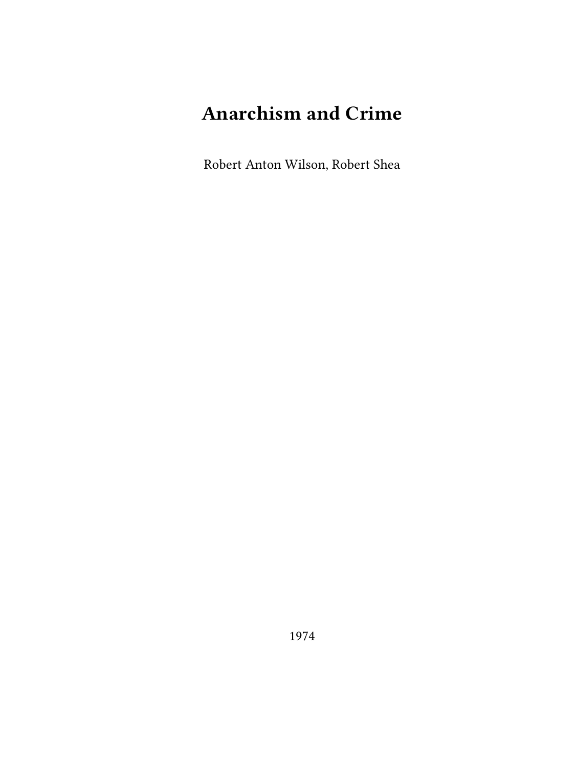# **Anarchism and Crime**

Robert Anton Wilson, Robert Shea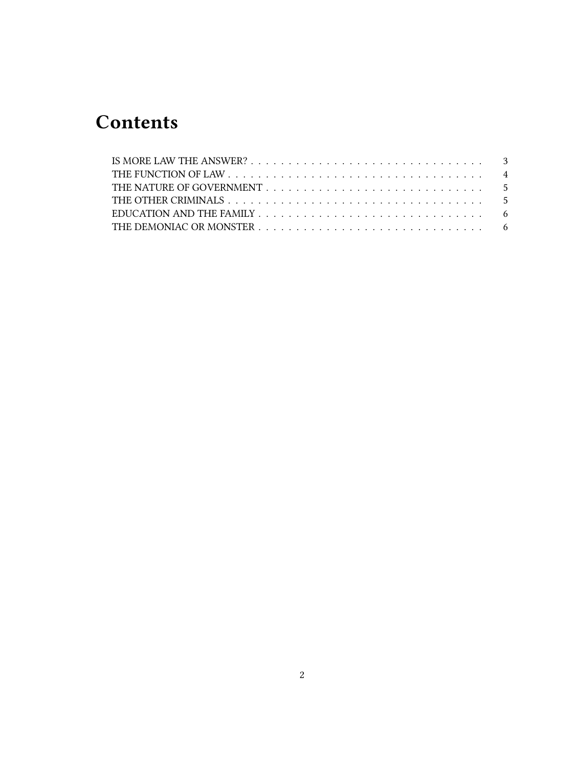## **Contents**

|  |  |  |  |  |  |  |  |  |  |  |  | EDUCATION AND THE FAMILY $\ldots \ldots \ldots \ldots \ldots \ldots \ldots \ldots \ldots \ldots \ldots$ |
|--|--|--|--|--|--|--|--|--|--|--|--|---------------------------------------------------------------------------------------------------------|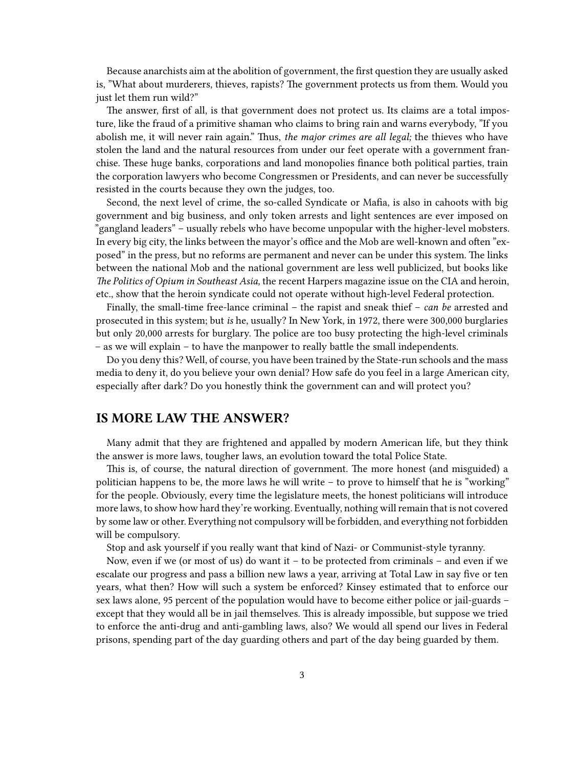Because anarchists aim at the abolition of government, the first question they are usually asked is, "What about murderers, thieves, rapists? The government protects us from them. Would you just let them run wild?"

The answer, first of all, is that government does not protect us. Its claims are a total imposture, like the fraud of a primitive shaman who claims to bring rain and warns everybody, "If you abolish me, it will never rain again." Thus, *the major crimes are all legal;* the thieves who have stolen the land and the natural resources from under our feet operate with a government franchise. These huge banks, corporations and land monopolies finance both political parties, train the corporation lawyers who become Congressmen or Presidents, and can never be successfully resisted in the courts because they own the judges, too.

Second, the next level of crime, the so-called Syndicate or Mafia, is also in cahoots with big government and big business, and only token arrests and light sentences are ever imposed on "gangland leaders" – usually rebels who have become unpopular with the higher-level mobsters. In every big city, the links between the mayor's office and the Mob are well-known and often "exposed" in the press, but no reforms are permanent and never can be under this system. The links between the national Mob and the national government are less well publicized, but books like *The Politics of Opium in Southeast Asia,* the recent Harpers magazine issue on the CIA and heroin, etc., show that the heroin syndicate could not operate without high-level Federal protection.

Finally, the small-time free-lance criminal – the rapist and sneak thief – *can be* arrested and prosecuted in this system; but *is* he, usually? In New York, in 1972, there were 300,000 burglaries but only 20,000 arrests for burglary. The police are too busy protecting the high-level criminals – as we will explain – to have the manpower to really battle the small independents.

Do you deny this? Well, of course, you have been trained by the State-run schools and the mass media to deny it, do you believe your own denial? How safe do you feel in a large American city, especially after dark? Do you honestly think the government can and will protect you?

#### <span id="page-2-0"></span>**IS MORE LAW THE ANSWER?**

Many admit that they are frightened and appalled by modern American life, but they think the answer is more laws, tougher laws, an evolution toward the total Police State.

This is, of course, the natural direction of government. The more honest (and misguided) a politician happens to be, the more laws he will write – to prove to himself that he is "working" for the people. Obviously, every time the legislature meets, the honest politicians will introduce more laws, to show how hard they're working. Eventually, nothing will remain that is not covered by some law or other. Everything not compulsory will be forbidden, and everything not forbidden will be compulsory.

Stop and ask yourself if you really want that kind of Nazi- or Communist-style tyranny.

Now, even if we (or most of us) do want it – to be protected from criminals – and even if we escalate our progress and pass a billion new laws a year, arriving at Total Law in say five or ten years, what then? How will such a system be enforced? Kinsey estimated that to enforce our sex laws alone, 95 percent of the population would have to become either police or jail-guards – except that they would all be in jail themselves. This is already impossible, but suppose we tried to enforce the anti-drug and anti-gambling laws, also? We would all spend our lives in Federal prisons, spending part of the day guarding others and part of the day being guarded by them.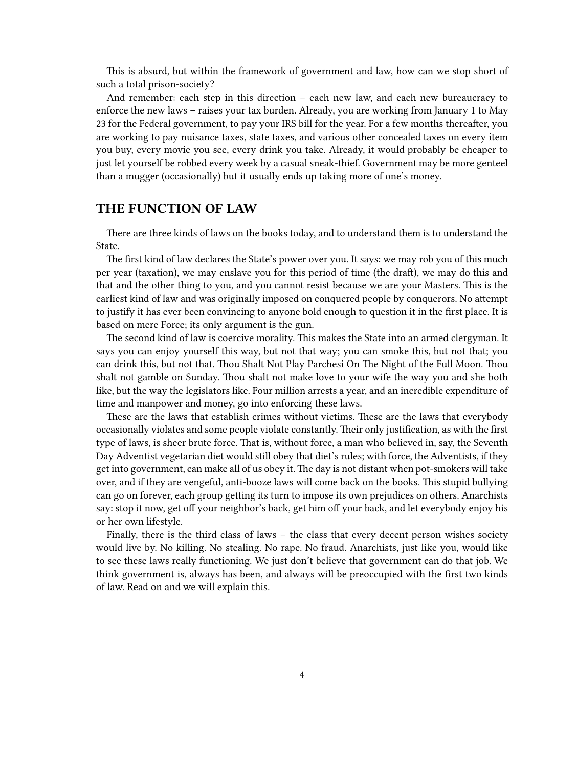This is absurd, but within the framework of government and law, how can we stop short of such a total prison-society?

And remember: each step in this direction – each new law, and each new bureaucracy to enforce the new laws – raises your tax burden. Already, you are working from January 1 to May 23 for the Federal government, to pay your IRS bill for the year. For a few months thereafter, you are working to pay nuisance taxes, state taxes, and various other concealed taxes on every item you buy, every movie you see, every drink you take. Already, it would probably be cheaper to just let yourself be robbed every week by a casual sneak-thief. Government may be more genteel than a mugger (occasionally) but it usually ends up taking more of one's money.

#### <span id="page-3-0"></span>**THE FUNCTION OF LAW**

There are three kinds of laws on the books today, and to understand them is to understand the State.

The first kind of law declares the State's power over you. It says: we may rob you of this much per year (taxation), we may enslave you for this period of time (the draft), we may do this and that and the other thing to you, and you cannot resist because we are your Masters. This is the earliest kind of law and was originally imposed on conquered people by conquerors. No attempt to justify it has ever been convincing to anyone bold enough to question it in the first place. It is based on mere Force; its only argument is the gun.

The second kind of law is coercive morality. This makes the State into an armed clergyman. It says you can enjoy yourself this way, but not that way; you can smoke this, but not that; you can drink this, but not that. Thou Shalt Not Play Parchesi On The Night of the Full Moon. Thou shalt not gamble on Sunday. Thou shalt not make love to your wife the way you and she both like, but the way the legislators like. Four million arrests a year, and an incredible expenditure of time and manpower and money, go into enforcing these laws.

These are the laws that establish crimes without victims. These are the laws that everybody occasionally violates and some people violate constantly. Their only justification, as with the first type of laws, is sheer brute force. That is, without force, a man who believed in, say, the Seventh Day Adventist vegetarian diet would still obey that diet's rules; with force, the Adventists, if they get into government, can make all of us obey it. The day is not distant when pot-smokers will take over, and if they are vengeful, anti-booze laws will come back on the books. This stupid bullying can go on forever, each group getting its turn to impose its own prejudices on others. Anarchists say: stop it now, get off your neighbor's back, get him off your back, and let everybody enjoy his or her own lifestyle.

Finally, there is the third class of laws – the class that every decent person wishes society would live by. No killing. No stealing. No rape. No fraud. Anarchists, just like you, would like to see these laws really functioning. We just don't believe that government can do that job. We think government is, always has been, and always will be preoccupied with the first two kinds of law. Read on and we will explain this.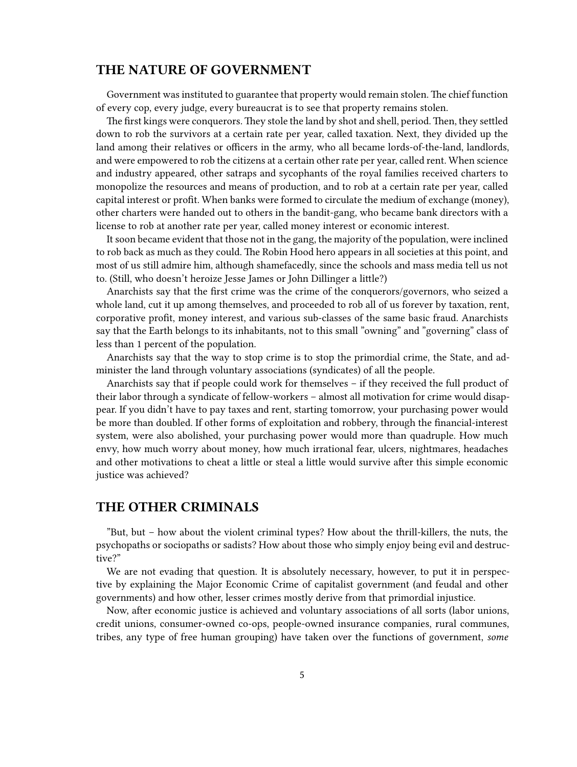#### <span id="page-4-0"></span>**THE NATURE OF GOVERNMENT**

Government was instituted to guarantee that property would remain stolen. The chief function of every cop, every judge, every bureaucrat is to see that property remains stolen.

The first kings were conquerors. They stole the land by shot and shell, period. Then, they settled down to rob the survivors at a certain rate per year, called taxation. Next, they divided up the land among their relatives or officers in the army, who all became lords-of-the-land, landlords, and were empowered to rob the citizens at a certain other rate per year, called rent. When science and industry appeared, other satraps and sycophants of the royal families received charters to monopolize the resources and means of production, and to rob at a certain rate per year, called capital interest or profit. When banks were formed to circulate the medium of exchange (money), other charters were handed out to others in the bandit-gang, who became bank directors with a license to rob at another rate per year, called money interest or economic interest.

It soon became evident that those not in the gang, the majority of the population, were inclined to rob back as much as they could. The Robin Hood hero appears in all societies at this point, and most of us still admire him, although shamefacedly, since the schools and mass media tell us not to. (Still, who doesn't heroize Jesse James or John Dillinger a little?)

Anarchists say that the first crime was the crime of the conquerors/governors, who seized a whole land, cut it up among themselves, and proceeded to rob all of us forever by taxation, rent, corporative profit, money interest, and various sub-classes of the same basic fraud. Anarchists say that the Earth belongs to its inhabitants, not to this small "owning" and "governing" class of less than 1 percent of the population.

Anarchists say that the way to stop crime is to stop the primordial crime, the State, and administer the land through voluntary associations (syndicates) of all the people.

Anarchists say that if people could work for themselves – if they received the full product of their labor through a syndicate of fellow-workers – almost all motivation for crime would disappear. If you didn't have to pay taxes and rent, starting tomorrow, your purchasing power would be more than doubled. If other forms of exploitation and robbery, through the financial-interest system, were also abolished, your purchasing power would more than quadruple. How much envy, how much worry about money, how much irrational fear, ulcers, nightmares, headaches and other motivations to cheat a little or steal a little would survive after this simple economic justice was achieved?

#### <span id="page-4-1"></span>**THE OTHER CRIMINALS**

"But, but – how about the violent criminal types? How about the thrill-killers, the nuts, the psychopaths or sociopaths or sadists? How about those who simply enjoy being evil and destructive?"

We are not evading that question. It is absolutely necessary, however, to put it in perspective by explaining the Major Economic Crime of capitalist government (and feudal and other governments) and how other, lesser crimes mostly derive from that primordial injustice.

Now, after economic justice is achieved and voluntary associations of all sorts (labor unions, credit unions, consumer-owned co-ops, people-owned insurance companies, rural communes, tribes, any type of free human grouping) have taken over the functions of government, *some*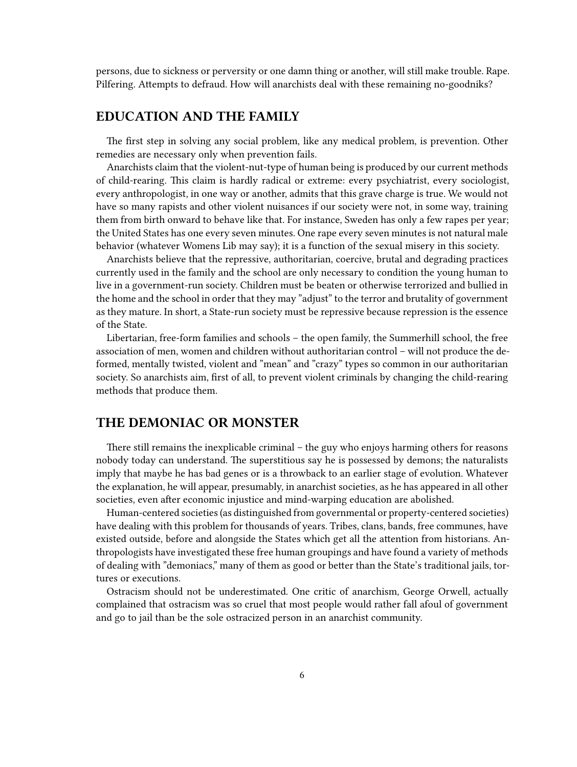persons, due to sickness or perversity or one damn thing or another, will still make trouble. Rape. Pilfering. Attempts to defraud. How will anarchists deal with these remaining no-goodniks?

### <span id="page-5-0"></span>**EDUCATION AND THE FAMILY**

The first step in solving any social problem, like any medical problem, is prevention. Other remedies are necessary only when prevention fails.

Anarchists claim that the violent-nut-type of human being is produced by our current methods of child-rearing. This claim is hardly radical or extreme: every psychiatrist, every sociologist, every anthropologist, in one way or another, admits that this grave charge is true. We would not have so many rapists and other violent nuisances if our society were not, in some way, training them from birth onward to behave like that. For instance, Sweden has only a few rapes per year; the United States has one every seven minutes. One rape every seven minutes is not natural male behavior (whatever Womens Lib may say); it is a function of the sexual misery in this society.

Anarchists believe that the repressive, authoritarian, coercive, brutal and degrading practices currently used in the family and the school are only necessary to condition the young human to live in a government-run society. Children must be beaten or otherwise terrorized and bullied in the home and the school in order that they may "adjust" to the terror and brutality of government as they mature. In short, a State-run society must be repressive because repression is the essence of the State.

Libertarian, free-form families and schools – the open family, the Summerhill school, the free association of men, women and children without authoritarian control – will not produce the deformed, mentally twisted, violent and "mean" and "crazy" types so common in our authoritarian society. So anarchists aim, first of all, to prevent violent criminals by changing the child-rearing methods that produce them.

#### <span id="page-5-1"></span>**THE DEMONIAC OR MONSTER**

There still remains the inexplicable criminal – the guy who enjoys harming others for reasons nobody today can understand. The superstitious say he is possessed by demons; the naturalists imply that maybe he has bad genes or is a throwback to an earlier stage of evolution. Whatever the explanation, he will appear, presumably, in anarchist societies, as he has appeared in all other societies, even after economic injustice and mind-warping education are abolished.

Human-centered societies (as distinguished from governmental or property-centered societies) have dealing with this problem for thousands of years. Tribes, clans, bands, free communes, have existed outside, before and alongside the States which get all the attention from historians. Anthropologists have investigated these free human groupings and have found a variety of methods of dealing with "demoniacs," many of them as good or better than the State's traditional jails, tortures or executions.

Ostracism should not be underestimated. One critic of anarchism, George Orwell, actually complained that ostracism was so cruel that most people would rather fall afoul of government and go to jail than be the sole ostracized person in an anarchist community.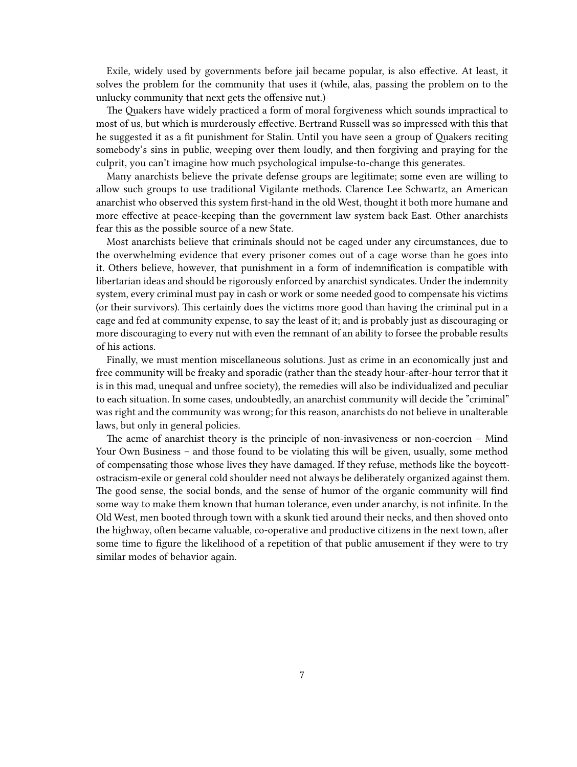Exile, widely used by governments before jail became popular, is also effective. At least, it solves the problem for the community that uses it (while, alas, passing the problem on to the unlucky community that next gets the offensive nut.)

The Quakers have widely practiced a form of moral forgiveness which sounds impractical to most of us, but which is murderously effective. Bertrand Russell was so impressed with this that he suggested it as a fit punishment for Stalin. Until you have seen a group of Quakers reciting somebody's sins in public, weeping over them loudly, and then forgiving and praying for the culprit, you can't imagine how much psychological impulse-to-change this generates.

Many anarchists believe the private defense groups are legitimate; some even are willing to allow such groups to use traditional Vigilante methods. Clarence Lee Schwartz, an American anarchist who observed this system first-hand in the old West, thought it both more humane and more effective at peace-keeping than the government law system back East. Other anarchists fear this as the possible source of a new State.

Most anarchists believe that criminals should not be caged under any circumstances, due to the overwhelming evidence that every prisoner comes out of a cage worse than he goes into it. Others believe, however, that punishment in a form of indemnification is compatible with libertarian ideas and should be rigorously enforced by anarchist syndicates. Under the indemnity system, every criminal must pay in cash or work or some needed good to compensate his victims (or their survivors). This certainly does the victims more good than having the criminal put in a cage and fed at community expense, to say the least of it; and is probably just as discouraging or more discouraging to every nut with even the remnant of an ability to forsee the probable results of his actions.

Finally, we must mention miscellaneous solutions. Just as crime in an economically just and free community will be freaky and sporadic (rather than the steady hour-after-hour terror that it is in this mad, unequal and unfree society), the remedies will also be individualized and peculiar to each situation. In some cases, undoubtedly, an anarchist community will decide the "criminal" was right and the community was wrong; for this reason, anarchists do not believe in unalterable laws, but only in general policies.

The acme of anarchist theory is the principle of non-invasiveness or non-coercion – Mind Your Own Business – and those found to be violating this will be given, usually, some method of compensating those whose lives they have damaged. If they refuse, methods like the boycottostracism-exile or general cold shoulder need not always be deliberately organized against them. The good sense, the social bonds, and the sense of humor of the organic community will find some way to make them known that human tolerance, even under anarchy, is not infinite. In the Old West, men booted through town with a skunk tied around their necks, and then shoved onto the highway, often became valuable, co-operative and productive citizens in the next town, after some time to figure the likelihood of a repetition of that public amusement if they were to try similar modes of behavior again.